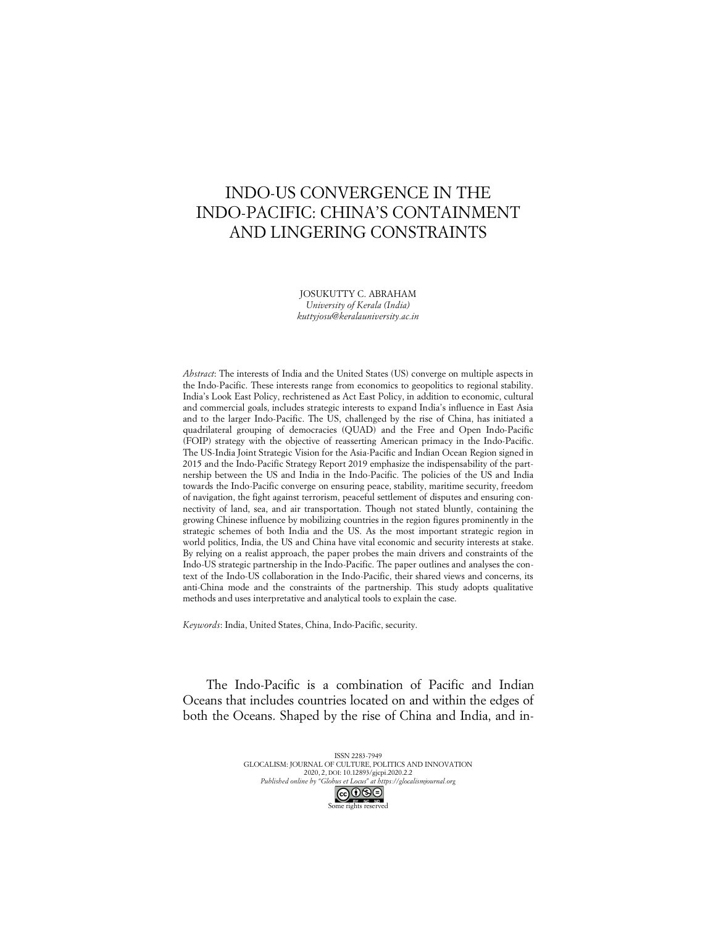# INDO-US CONVERGENCE IN THE INDO-PACIFIC: CHINA'S CONTAINMENT AND LINGERING CONSTRAINTS

JOSUKUTTY C. ABRAHAM *University of Kerala (India) kuttyjosu@keralauniversity.ac.in*

*Abstract*: The interests of India and the United States (US) converge on multiple aspects in the Indo-Pacific. These interests range from economics to geopolitics to regional stability. India's Look East Policy, rechristened as Act East Policy, in addition to economic, cultural and commercial goals, includes strategic interests to expand India's influence in East Asia and to the larger Indo-Pacific. The US, challenged by the rise of China, has initiated a quadrilateral grouping of democracies (QUAD) and the Free and Open Indo-Pacific (FOIP) strategy with the objective of reasserting American primacy in the Indo-Pacific. The US-India Joint Strategic Vision for the Asia-Pacific and Indian Ocean Region signed in 2015 and the Indo-Pacific Strategy Report 2019 emphasize the indispensability of the partnership between the US and India in the Indo-Pacific. The policies of the US and India towards the Indo-Pacific converge on ensuring peace, stability, maritime security, freedom of navigation, the fight against terrorism, peaceful settlement of disputes and ensuring connectivity of land, sea, and air transportation. Though not stated bluntly, containing the growing Chinese influence by mobilizing countries in the region figures prominently in the strategic schemes of both India and the US. As the most important strategic region in world politics, India, the US and China have vital economic and security interests at stake. By relying on a realist approach, the paper probes the main drivers and constraints of the Indo-US strategic partnership in the Indo-Pacific. The paper outlines and analyses the context of the Indo-US collaboration in the Indo-Pacific, their shared views and concerns, its anti-China mode and the constraints of the partnership. This study adopts qualitative methods and uses interpretative and analytical tools to explain the case.

*Keywords*: India, United States, China, Indo-Pacific, security.

The Indo-Pacific is a combination of Pacific and Indian Oceans that includes countries located on and within the edges of both the Oceans. Shaped by the rise of China and India, and in-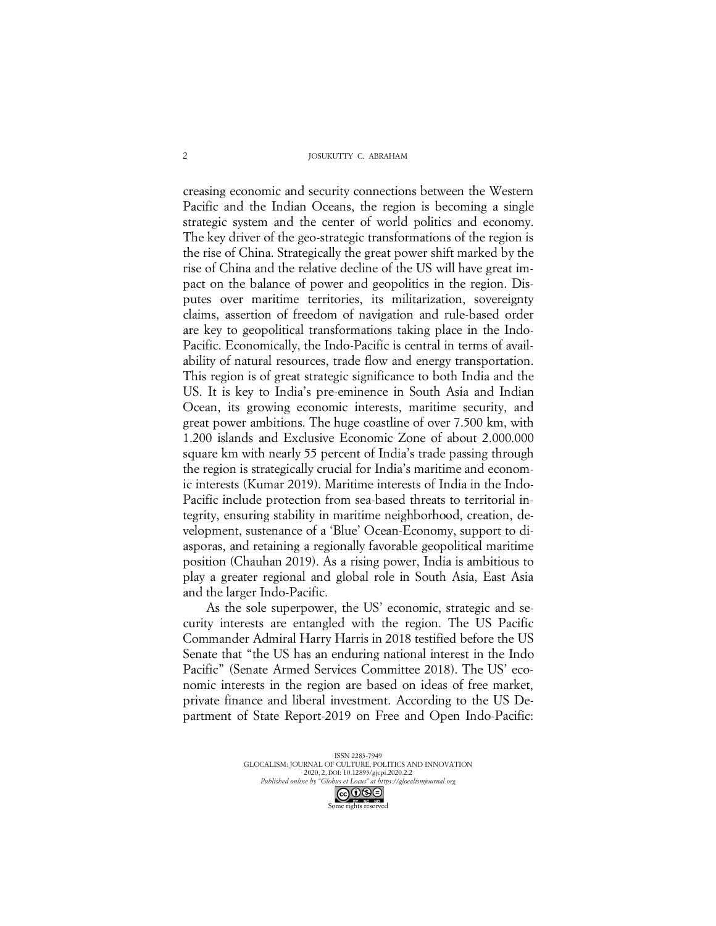#### JOSUKUTTY C. ABRAHAM

creasing economic and security connections between the Western Pacific and the Indian Oceans, the region is becoming a single strategic system and the center of world politics and economy. The key driver of the geo-strategic transformations of the region is the rise of China. Strategically the great power shift marked by the rise of China and the relative decline of the US will have great impact on the balance of power and geopolitics in the region. Disputes over maritime territories, its militarization, sovereignty claims, assertion of freedom of navigation and rule-based order are key to geopolitical transformations taking place in the Indo-Pacific. Economically, the Indo-Pacific is central in terms of availability of natural resources, trade flow and energy transportation. This region is of great strategic significance to both India and the US. It is key to India's pre-eminence in South Asia and Indian Ocean, its growing economic interests, maritime security, and great power ambitions. The huge coastline of over 7.500 km, with 1.200 islands and Exclusive Economic Zone of about 2.000.000 square km with nearly 55 percent of India's trade passing through the region is strategically crucial for India's maritime and economic interests (Kumar 2019). Maritime interests of India in the Indo-Pacific include protection from sea-based threats to territorial integrity, ensuring stability in maritime neighborhood, creation, development, sustenance of a 'Blue' Ocean-Economy, support to diasporas, and retaining a regionally favorable geopolitical maritime position (Chauhan 2019). As a rising power, India is ambitious to play a greater regional and global role in South Asia, East Asia and the larger Indo-Pacific.

As the sole superpower, the US' economic, strategic and security interests are entangled with the region. The US Pacific Commander Admiral Harry Harris in 2018 testified before the US Senate that "the US has an enduring national interest in the Indo Pacific" (Senate Armed Services Committee 2018). The US' economic interests in the region are based on ideas of free market, private finance and liberal investment. According to the US Department of State Report-2019 on Free and Open Indo-Pacific: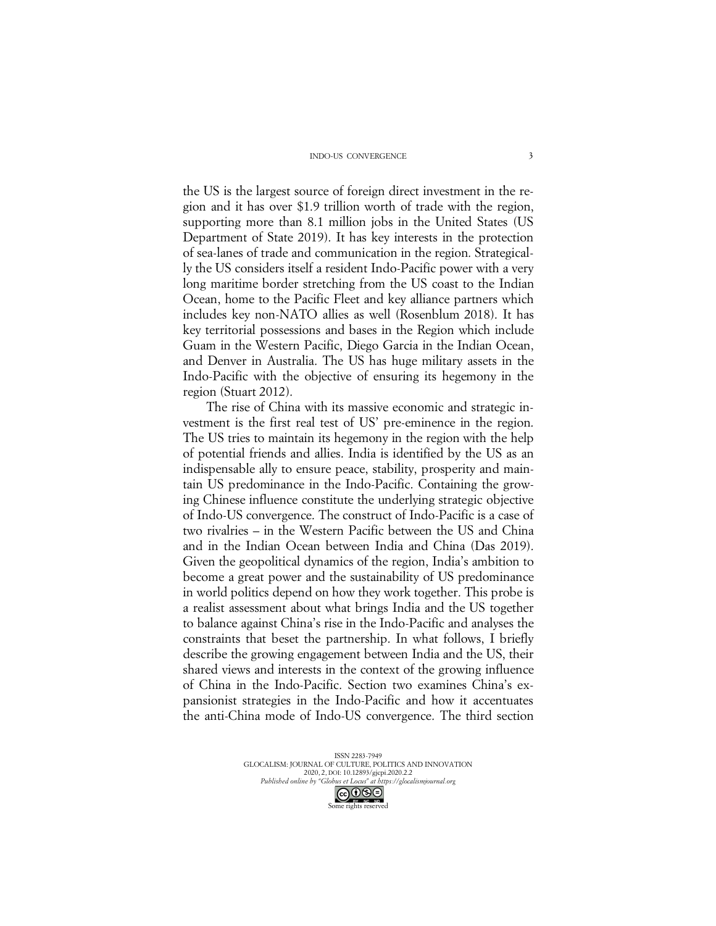the US is the largest source of foreign direct investment in the region and it has over \$1.9 trillion worth of trade with the region, supporting more than 8.1 million jobs in the United States (US Department of State 2019). It has key interests in the protection of sea-lanes of trade and communication in the region. Strategically the US considers itself a resident Indo-Pacific power with a very long maritime border stretching from the US coast to the Indian Ocean, home to the Pacific Fleet and key alliance partners which includes key non-NATO allies as well (Rosenblum 2018). It has key territorial possessions and bases in the Region which include Guam in the Western Pacific, Diego Garcia in the Indian Ocean, and Denver in Australia. The US has huge military assets in the Indo-Pacific with the objective of ensuring its hegemony in the region (Stuart 2012).

The rise of China with its massive economic and strategic investment is the first real test of US' pre-eminence in the region. The US tries to maintain its hegemony in the region with the help of potential friends and allies. India is identified by the US as an indispensable ally to ensure peace, stability, prosperity and maintain US predominance in the Indo-Pacific. Containing the growing Chinese influence constitute the underlying strategic objective of Indo-US convergence. The construct of Indo-Pacific is a case of two rivalries – in the Western Pacific between the US and China and in the Indian Ocean between India and China (Das 2019). Given the geopolitical dynamics of the region, India's ambition to become a great power and the sustainability of US predominance in world politics depend on how they work together. This probe is a realist assessment about what brings India and the US together to balance against China's rise in the Indo-Pacific and analyses the constraints that beset the partnership. In what follows, I briefly describe the growing engagement between India and the US, their shared views and interests in the context of the growing influence of China in the Indo-Pacific. Section two examines China's expansionist strategies in the Indo-Pacific and how it accentuates the anti-China mode of Indo-US convergence. The third section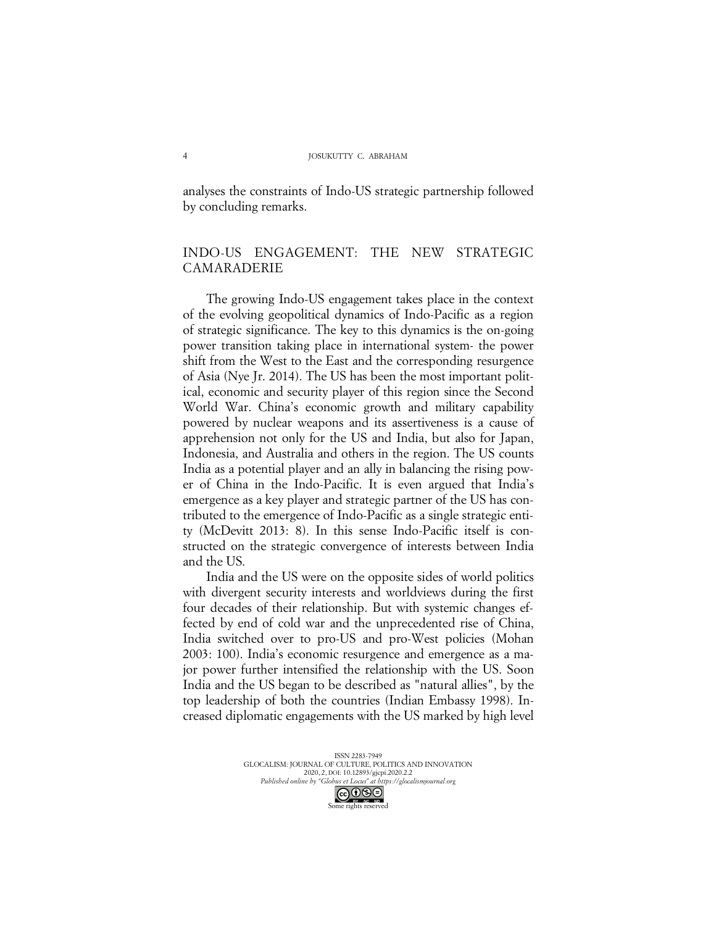analyses the constraints of Indo-US strategic partnership followed by concluding remarks.

# INDO-US ENGAGEMENT: THE NEW STRATEGIC CAMARADERIE

The growing Indo-US engagement takes place in the context of the evolving geopolitical dynamics of Indo-Pacific as a region of strategic significance. The key to this dynamics is the on-going power transition taking place in international system- the power shift from the West to the East and the corresponding resurgence of Asia (Nye Jr. 2014). The US has been the most important political, economic and security player of this region since the Second World War. China's economic growth and military capability powered by nuclear weapons and its assertiveness is a cause of apprehension not only for the US and India, but also for Japan, Indonesia, and Australia and others in the region. The US counts India as a potential player and an ally in balancing the rising power of China in the Indo-Pacific. It is even argued that India's emergence as a key player and strategic partner of the US has contributed to the emergence of Indo-Pacific as a single strategic entity (McDevitt 2013: 8). In this sense Indo-Pacific itself is constructed on the strategic convergence of interests between India and the US.

India and the US were on the opposite sides of world politics with divergent security interests and worldviews during the first four decades of their relationship. But with systemic changes effected by end of cold war and the unprecedented rise of China, India switched over to pro-US and pro-West policies (Mohan 2003: 100). India's economic resurgence and emergence as a major power further intensified the relationship with the US. Soon India and the US began to be described as "natural allies", by the top leadership of both the countries (Indian Embassy 1998). Increased diplomatic engagements with the US marked by high level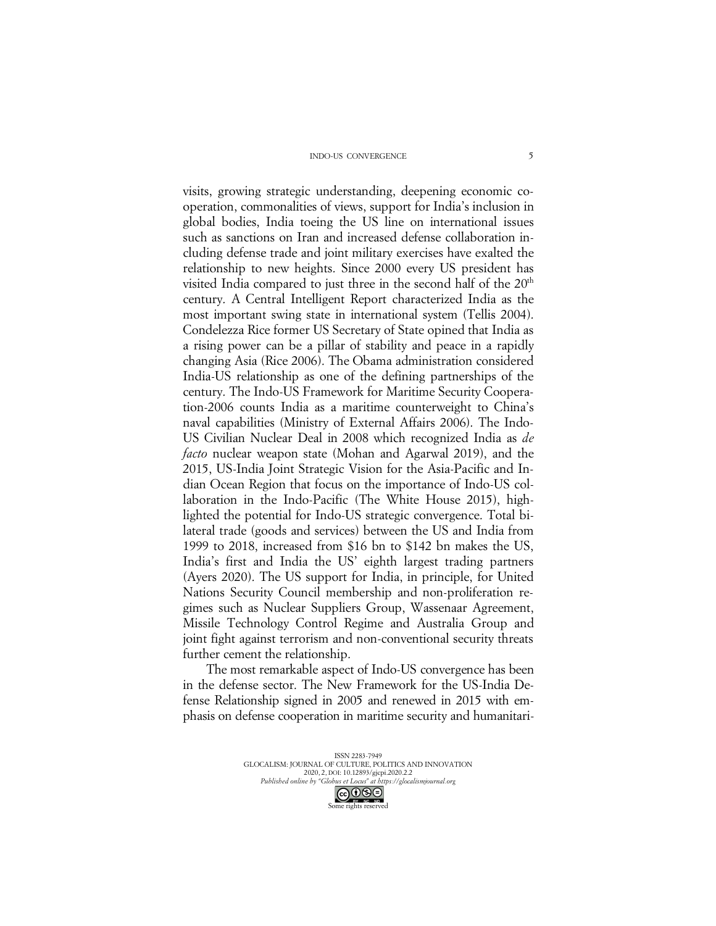visits, growing strategic understanding, deepening economic cooperation, commonalities of views, support for India's inclusion in global bodies, India toeing the US line on international issues such as sanctions on Iran and increased defense collaboration including defense trade and joint military exercises have exalted the relationship to new heights. Since 2000 every US president has visited India compared to just three in the second half of the  $20<sup>th</sup>$ century. A Central Intelligent Report characterized India as the most important swing state in international system (Tellis 2004). Condelezza Rice former US Secretary of State opined that India as a rising power can be a pillar of stability and peace in a rapidly changing Asia (Rice 2006). The Obama administration considered India-US relationship as one of the defining partnerships of the century. The Indo-US Framework for Maritime Security Cooperation-2006 counts India as a maritime counterweight to China's naval capabilities (Ministry of External Affairs 2006). The Indo-US Civilian Nuclear Deal in 2008 which recognized India as *de facto* nuclear weapon state (Mohan and Agarwal 2019), and the 2015, US-India Joint Strategic Vision for the Asia-Pacific and Indian Ocean Region that focus on the importance of Indo-US collaboration in the Indo-Pacific (The White House 2015), highlighted the potential for Indo-US strategic convergence. Total bilateral trade (goods and services) between the US and India from 1999 to 2018, increased from \$16 bn to \$142 bn makes the US, India's first and India the US' eighth largest trading partners (Ayers 2020). The US support for India, in principle, for United Nations Security Council membership and non-proliferation regimes such as Nuclear Suppliers Group, Wassenaar Agreement, Missile Technology Control Regime and Australia Group and joint fight against terrorism and non-conventional security threats further cement the relationship.

The most remarkable aspect of Indo-US convergence has been in the defense sector. The New Framework for the US-India Defense Relationship signed in 2005 and renewed in 2015 with emphasis on defense cooperation in maritime security and humanitari-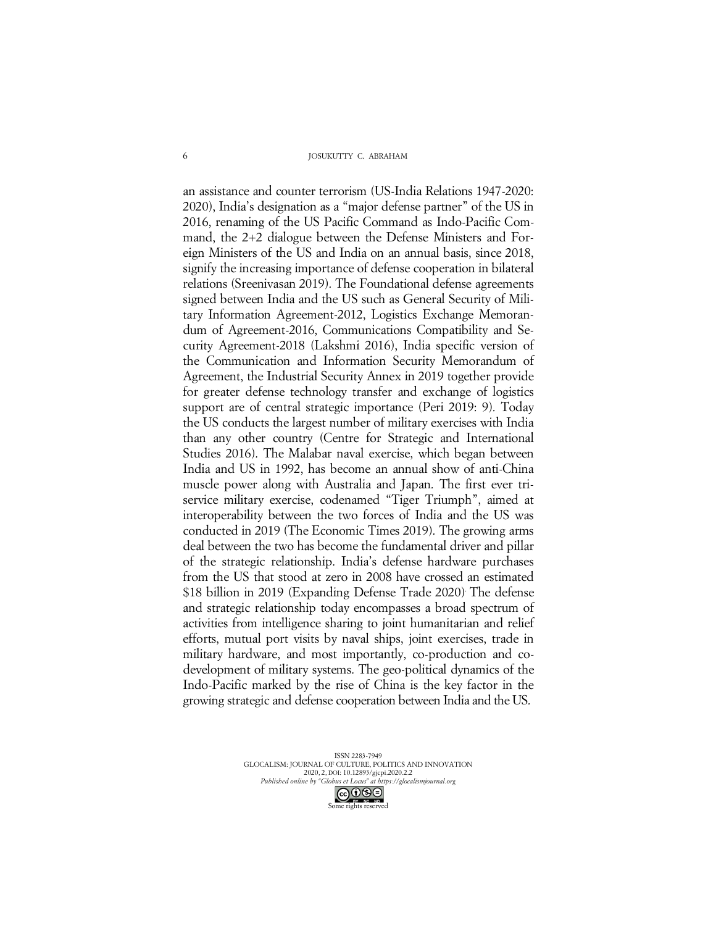#### JOSUKUTTY C. ABRAHAM

an assistance and counter terrorism (US-India Relations 1947-2020: 2020), India's designation as a "major defense partner" of the US in 2016, renaming of the US Pacific Command as Indo-Pacific Command, the 2+2 dialogue between the Defense Ministers and Foreign Ministers of the US and India on an annual basis, since 2018, signify the increasing importance of defense cooperation in bilateral relations (Sreenivasan 2019). The Foundational defense agreements signed between India and the US such as General Security of Military Information Agreement-2012, Logistics Exchange Memorandum of Agreement-2016, Communications Compatibility and Security Agreement-2018 (Lakshmi 2016), India specific version of the Communication and Information Security Memorandum of Agreement, the Industrial Security Annex in 2019 together provide for greater defense technology transfer and exchange of logistics support are of central strategic importance (Peri 2019: 9). Today the US conducts the largest number of military exercises with India than any other country (Centre for Strategic and International Studies 2016). The Malabar naval exercise, which began between India and US in 1992, has become an annual show of anti-China muscle power along with Australia and Japan. The first ever triservice military exercise, codenamed "Tiger Triumph", aimed at interoperability between the two forces of India and the US was conducted in 2019 (The Economic Times 2019). The growing arms deal between the two has become the fundamental driver and pillar of the strategic relationship. India's defense hardware purchases from the US that stood at zero in 2008 have crossed an estimated \$18 billion in 2019 (Expanding Defense Trade 2020). The defense and strategic relationship today encompasses a broad spectrum of activities from intelligence sharing to joint humanitarian and relief efforts, mutual port visits by naval ships, joint exercises, trade in military hardware, and most importantly, co-production and codevelopment of military systems. The geo-political dynamics of the Indo-Pacific marked by the rise of China is the key factor in the growing strategic and defense cooperation between India and the US.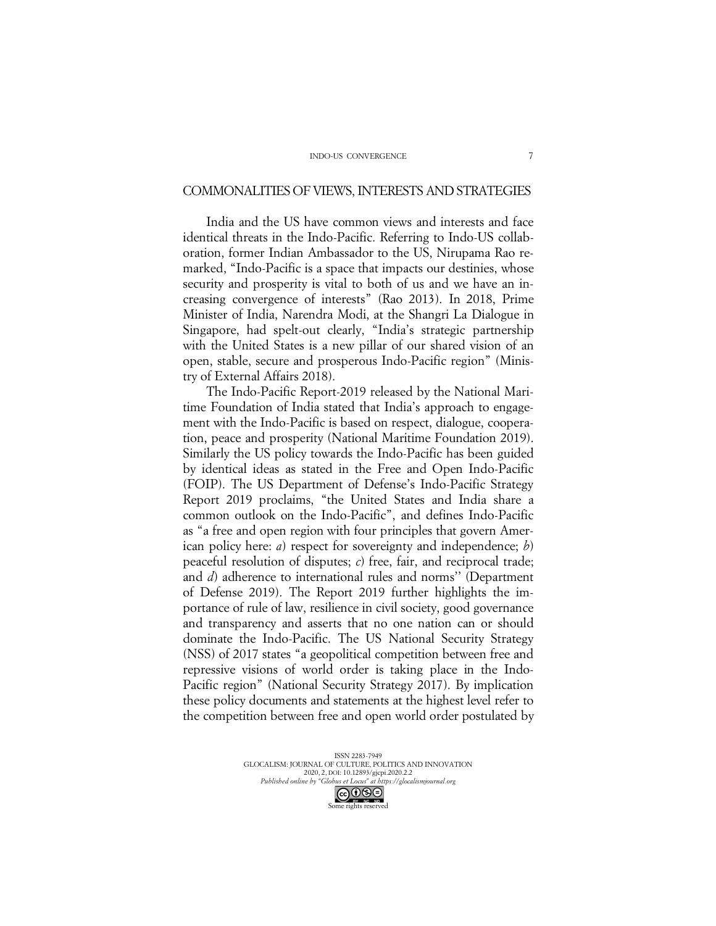# COMMONALITIES OF VIEWS, INTERESTS AND STRATEGIES

India and the US have common views and interests and face identical threats in the Indo-Pacific. Referring to Indo-US collaboration, former Indian Ambassador to the US, Nirupama Rao remarked, "Indo-Pacific is a space that impacts our destinies, whose security and prosperity is vital to both of us and we have an increasing convergence of interests" (Rao 2013). In 2018, Prime Minister of India, Narendra Modi, at the Shangri La Dialogue in Singapore, had spelt-out clearly, "India's strategic partnership with the United States is a new pillar of our shared vision of an open, stable, secure and prosperous Indo-Pacific region" (Ministry of External Affairs 2018).

The Indo-Pacific Report-2019 released by the National Maritime Foundation of India stated that India's approach to engagement with the Indo-Pacific is based on respect, dialogue, cooperation, peace and prosperity (National Maritime Foundation 2019). Similarly the US policy towards the Indo-Pacific has been guided by identical ideas as stated in the Free and Open Indo-Pacific (FOIP). The US Department of Defense's Indo-Pacific Strategy Report 2019 proclaims, "the United States and India share a common outlook on the Indo-Pacific", and defines Indo-Pacific as "a free and open region with four principles that govern American policy here: *a*) respect for sovereignty and independence; *b*) peaceful resolution of disputes; *c*) free, fair, and reciprocal trade; and *d*) adherence to international rules and norms'' (Department of Defense 2019). The Report 2019 further highlights the importance of rule of law, resilience in civil society, good governance and transparency and asserts that no one nation can or should dominate the Indo-Pacific. The US National Security Strategy (NSS) of 2017 states "a geopolitical competition between free and repressive visions of world order is taking place in the Indo-Pacific region" (National Security Strategy 2017). By implication these policy documents and statements at the highest level refer to the competition between free and open world order postulated by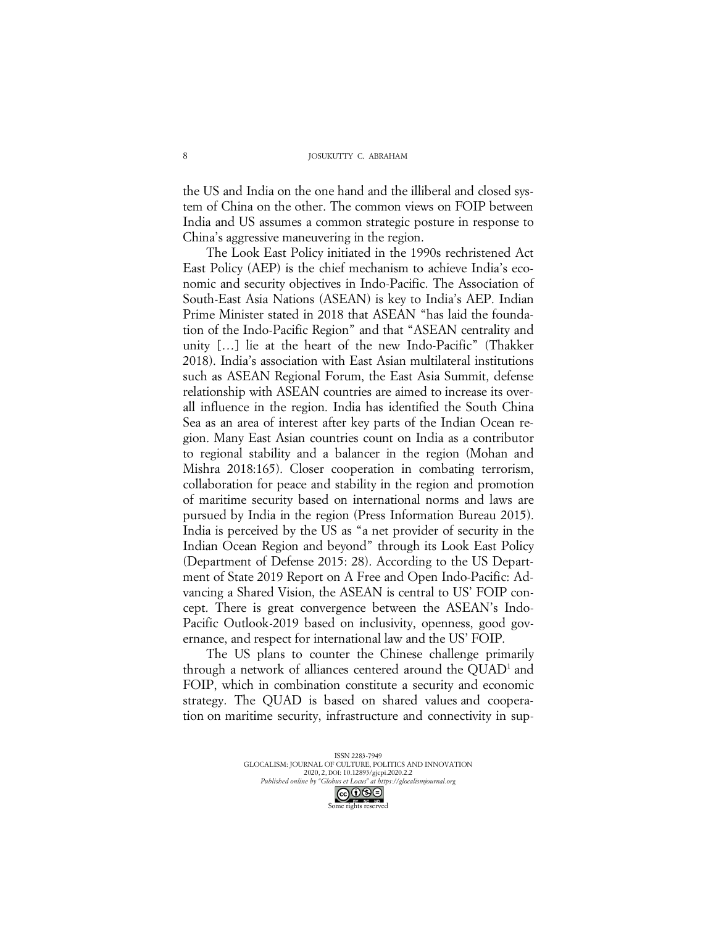the US and India on the one hand and the illiberal and closed system of China on the other. The common views on FOIP between India and US assumes a common strategic posture in response to China's aggressive maneuvering in the region.

The Look East Policy initiated in the 1990s rechristened Act East Policy (AEP) is the chief mechanism to achieve India's economic and security objectives in Indo-Pacific. The Association of South-East Asia Nations (ASEAN) is key to India's AEP. Indian Prime Minister stated in 2018 that ASEAN "has laid the foundation of the Indo-Pacific Region" and that "ASEAN centrality and unity […] lie at the heart of the new Indo-Pacific" (Thakker 2018). India's association with East Asian multilateral institutions such as ASEAN Regional Forum, the East Asia Summit, defense relationship with ASEAN countries are aimed to increase its overall influence in the region. India has identified the South China Sea as an area of interest after key parts of the Indian Ocean region. Many East Asian countries count on India as a contributor to regional stability and a balancer in the region (Mohan and Mishra 2018:165). Closer cooperation in combating terrorism, collaboration for peace and stability in the region and promotion of maritime security based on international norms and laws are pursued by India in the region (Press Information Bureau 2015). India is perceived by the US as "a net provider of security in the Indian Ocean Region and beyond" through its Look East Policy (Department of Defense 2015: 28). According to the US Department of State 2019 Report on A Free and Open Indo-Pacific: Advancing a Shared Vision, the ASEAN is central to US' FOIP concept. There is great convergence between the ASEAN's Indo-Pacific Outlook-2019 based on inclusivity, openness, good governance, and respect for international law and the US' FOIP.

The US plans to counter the Chinese challenge primarily through a network of alliances centered around the QUAD<sup>1</sup> and FOIP, which in combination constitute a security and economic strategy. The QUAD is based on shared values and cooperation on maritime security, infrastructure and connectivity in sup-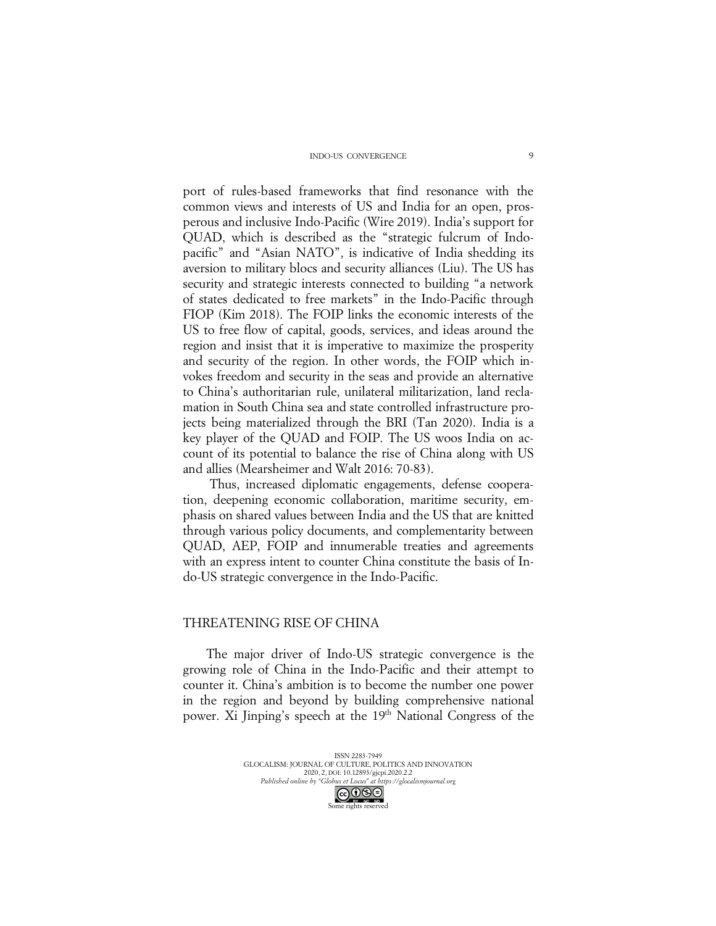port of rules-based frameworks that find resonance with the common views and interests of US and India for an open, prosperous and inclusive Indo-Pacific (Wire 2019). India's support for QUAD, which is described as the "strategic fulcrum of Indopacific" and "Asian NATO", is indicative of India shedding its aversion to military blocs and security alliances (Liu). The US has security and strategic interests connected to building "a network of states dedicated to free markets" in the Indo-Pacific through FIOP (Kim 2018). The FOIP links the economic interests of the US to free flow of capital, goods, services, and ideas around the region and insist that it is imperative to maximize the prosperity and security of the region. In other words, the FOIP which invokes freedom and security in the seas and provide an alternative to China's authoritarian rule, unilateral militarization, land reclamation in South China sea and state controlled infrastructure projects being materialized through the BRI (Tan 2020). India is a key player of the QUAD and FOIP. The US woos India on account of its potential to balance the rise of China along with US and allies (Mearsheimer and Walt 2016: 70-83).

Thus, increased diplomatic engagements, defense cooperation, deepening economic collaboration, maritime security, emphasis on shared values between India and the US that are knitted through various policy documents, and complementarity between QUAD, AEP, FOIP and innumerable treaties and agreements with an express intent to counter China constitute the basis of Indo-US strategic convergence in the Indo-Pacific.

# THREATENING RISE OF CHINA

The major driver of Indo-US strategic convergence is the growing role of China in the Indo-Pacific and their attempt to counter it. China's ambition is to become the number one power in the region and beyond by building comprehensive national power. Xi Jinping's speech at the 19<sup>th</sup> National Congress of the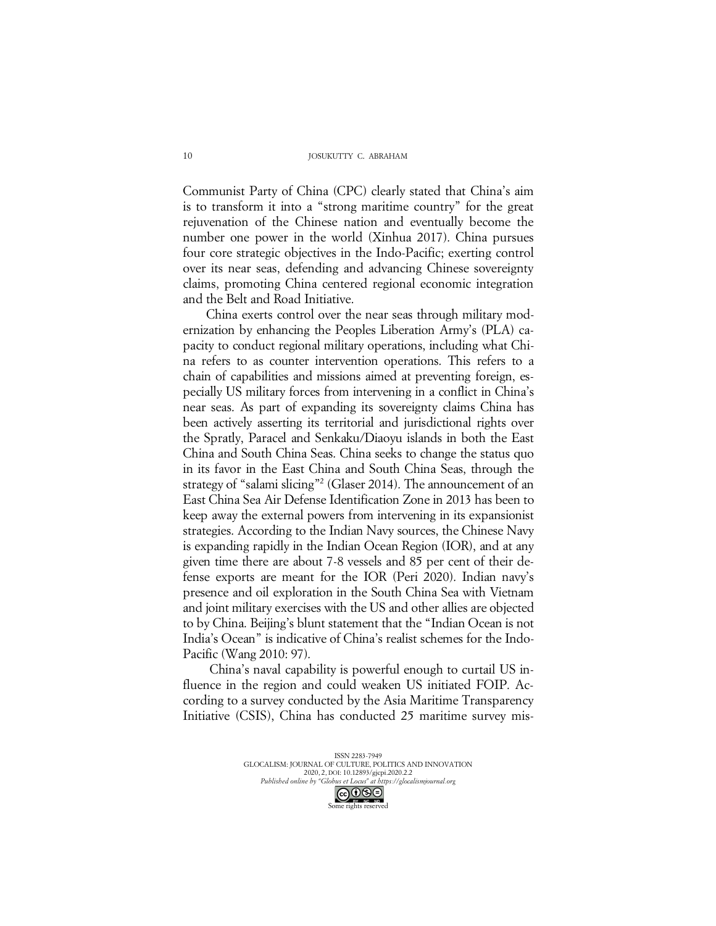Communist Party of China (CPC) clearly stated that China's aim is to transform it into a "strong maritime country" for the great rejuvenation of the Chinese nation and eventually become the number one power in the world (Xinhua 2017). China pursues four core strategic objectives in the Indo-Pacific; exerting control over its near seas, defending and advancing Chinese sovereignty claims, promoting China centered regional economic integration and the Belt and Road Initiative.

China exerts control over the near seas through military modernization by enhancing the Peoples Liberation Army's (PLA) capacity to conduct regional military operations, including what China refers to as counter intervention operations. This refers to a chain of capabilities and missions aimed at preventing foreign, especially US military forces from intervening in a conflict in China's near seas. As part of expanding its sovereignty claims China has been actively asserting its territorial and jurisdictional rights over the Spratly, Paracel and Senkaku/Diaoyu islands in both the East China and South China Seas. China seeks to change the status quo in its favor in the East China and South China Seas, through the strategy of "salami slicing"2 (Glaser 2014). The announcement of an East China Sea Air Defense Identification Zone in 2013 has been to keep away the external powers from intervening in its expansionist strategies. According to the Indian Navy sources, the Chinese Navy is expanding rapidly in the Indian Ocean Region (IOR), and at any given time there are about 7-8 vessels and 85 per cent of their defense exports are meant for the IOR (Peri 2020). Indian navy's presence and oil exploration in the South China Sea with Vietnam and joint military exercises with the US and other allies are objected to by China. Beijing's blunt statement that the "Indian Ocean is not India's Ocean" is indicative of China's realist schemes for the Indo-Pacific (Wang 2010: 97).

China's naval capability is powerful enough to curtail US influence in the region and could weaken US initiated FOIP. According to a survey conducted by the Asia Maritime Transparency Initiative (CSIS), China has conducted 25 maritime survey mis-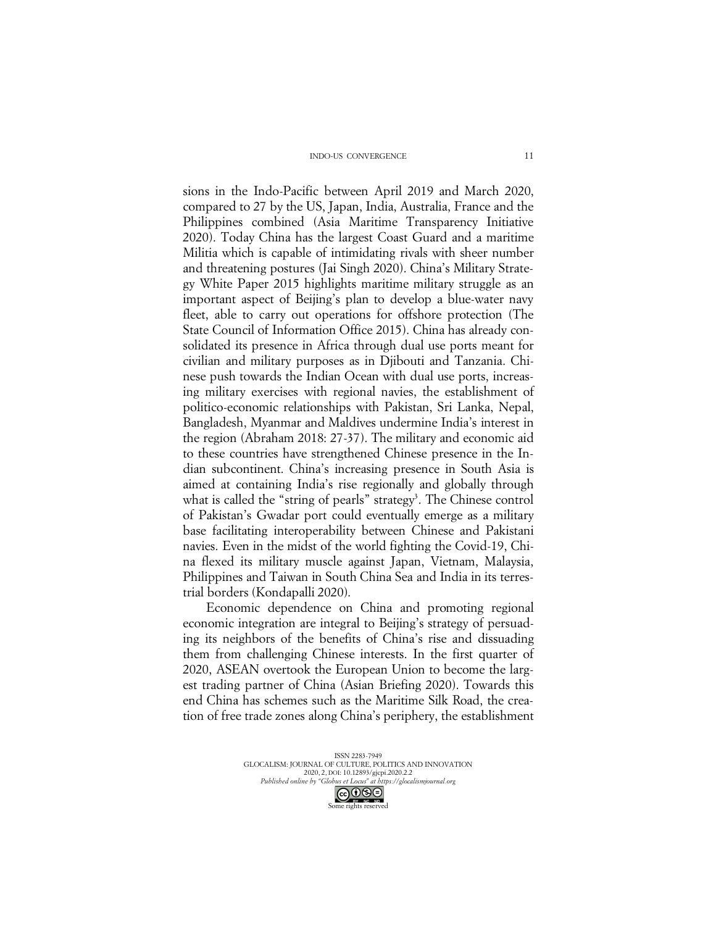sions in the Indo-Pacific between April 2019 and March 2020, compared to 27 by the US, Japan, India, Australia, France and the Philippines combined (Asia Maritime Transparency Initiative 2020). Today China has the largest Coast Guard and a maritime Militia which is capable of intimidating rivals with sheer number and threatening postures (Jai Singh 2020). China's Military Strategy White Paper 2015 highlights maritime military struggle as an important aspect of Beijing's plan to develop a blue-water navy fleet, able to carry out operations for offshore protection (The State Council of Information Office 2015). China has already consolidated its presence in Africa through dual use ports meant for civilian and military purposes as in Djibouti and Tanzania. Chinese push towards the Indian Ocean with dual use ports, increasing military exercises with regional navies, the establishment of politico-economic relationships with Pakistan, Sri Lanka, Nepal, Bangladesh, Myanmar and Maldives undermine India's interest in the region (Abraham 2018: 27-37). The military and economic aid to these countries have strengthened Chinese presence in the Indian subcontinent. China's increasing presence in South Asia is aimed at containing India's rise regionally and globally through what is called the "string of pearls" strategy<sup>3</sup>. The Chinese control of Pakistan's Gwadar port could eventually emerge as a military base facilitating interoperability between Chinese and Pakistani navies. Even in the midst of the world fighting the Covid-19, China flexed its military muscle against Japan, Vietnam, Malaysia, Philippines and Taiwan in South China Sea and India in its terrestrial borders (Kondapalli 2020).

Economic dependence on China and promoting regional economic integration are integral to Beijing's strategy of persuading its neighbors of the benefits of China's rise and dissuading them from challenging Chinese interests. In the first quarter of 2020, ASEAN overtook the European Union to become the largest trading partner of China (Asian Briefing 2020). Towards this end China has schemes such as the Maritime Silk Road, the creation of free trade zones along China's periphery, the establishment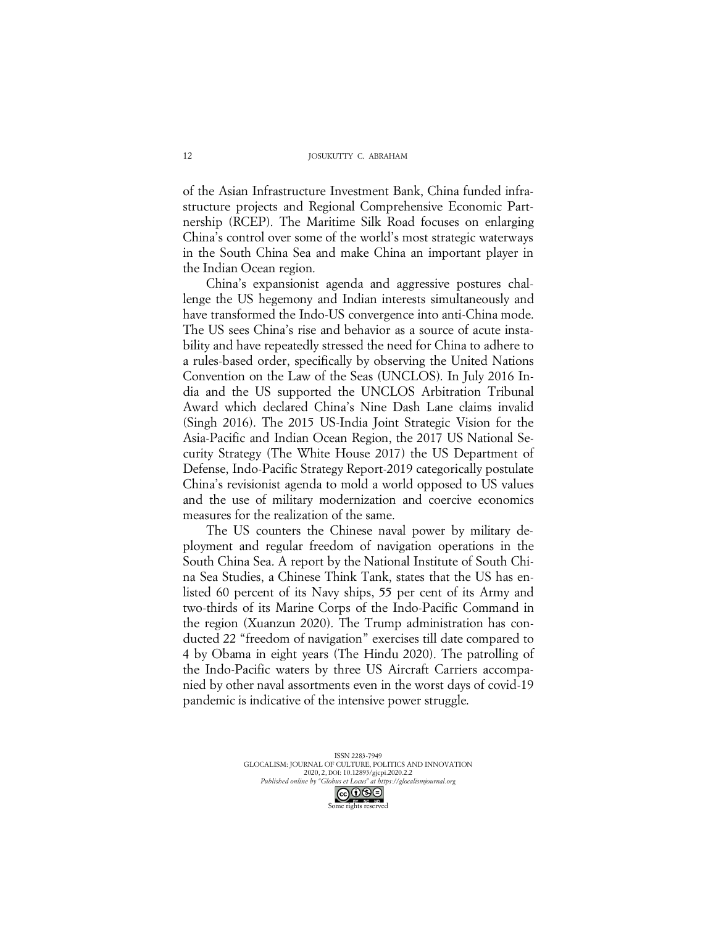of the Asian Infrastructure Investment Bank, China funded infrastructure projects and Regional Comprehensive Economic Partnership (RCEP). The Maritime Silk Road focuses on enlarging China's control over some of the world's most strategic waterways in the South China Sea and make China an important player in the Indian Ocean region.

China's expansionist agenda and aggressive postures challenge the US hegemony and Indian interests simultaneously and have transformed the Indo-US convergence into anti-China mode. The US sees China's rise and behavior as a source of acute instability and have repeatedly stressed the need for China to adhere to a rules-based order, specifically by observing the United Nations Convention on the Law of the Seas (UNCLOS). In July 2016 India and the US supported the UNCLOS Arbitration Tribunal Award which declared China's Nine Dash Lane claims invalid (Singh 2016). The 2015 US-India Joint Strategic Vision for the Asia-Pacific and Indian Ocean Region, the 2017 US National Security Strategy (The White House 2017) the US Department of Defense, Indo-Pacific Strategy Report-2019 categorically postulate China's revisionist agenda to mold a world opposed to US values and the use of military modernization and coercive economics measures for the realization of the same.

The US counters the Chinese naval power by military deployment and regular freedom of navigation operations in the South China Sea. A report by the National Institute of South China Sea Studies, a Chinese Think Tank, states that the US has enlisted 60 percent of its Navy ships, 55 per cent of its Army and two-thirds of its Marine Corps of the Indo-Pacific Command in the region (Xuanzun 2020). The Trump administration has conducted 22 "freedom of navigation" exercises till date compared to 4 by Obama in eight years (The Hindu 2020). The patrolling of the Indo-Pacific waters by three US Aircraft Carriers accompanied by other naval assortments even in the worst days of covid-19 pandemic is indicative of the intensive power struggle.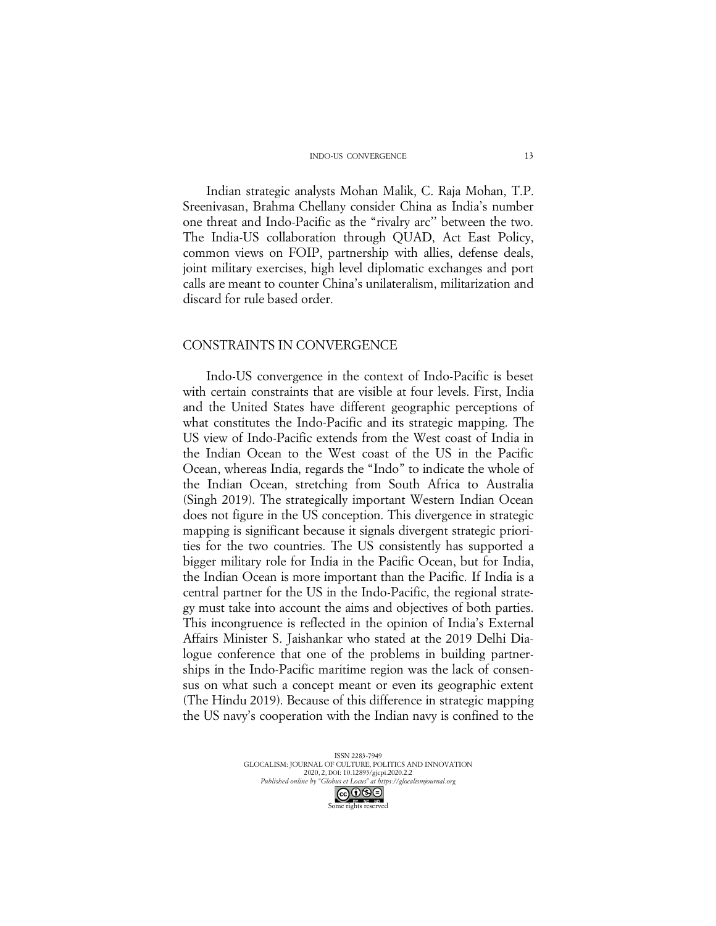Indian strategic analysts Mohan Malik, C. Raja Mohan, T.P. Sreenivasan, Brahma Chellany consider China as India's number one threat and Indo-Pacific as the "rivalry arc'' between the two. The India-US collaboration through QUAD, Act East Policy, common views on FOIP, partnership with allies, defense deals, joint military exercises, high level diplomatic exchanges and port calls are meant to counter China's unilateralism, militarization and discard for rule based order.

### CONSTRAINTS IN CONVERGENCE

Indo-US convergence in the context of Indo-Pacific is beset with certain constraints that are visible at four levels. First, India and the United States have different geographic perceptions of what constitutes the Indo-Pacific and its strategic mapping. The US view of Indo-Pacific extends from the West coast of India in the Indian Ocean to the West coast of the US in the Pacific Ocean, whereas India, regards the "Indo" to indicate the whole of the Indian Ocean, stretching from South Africa to Australia (Singh 2019). The strategically important Western Indian Ocean does not figure in the US conception. This divergence in strategic mapping is significant because it signals divergent strategic priorities for the two countries. The US consistently has supported a bigger military role for India in the Pacific Ocean, but for India, the Indian Ocean is more important than the Pacific. If India is a central partner for the US in the Indo-Pacific, the regional strategy must take into account the aims and objectives of both parties. This incongruence is reflected in the opinion of India's External Affairs Minister S. Jaishankar who stated at the 2019 Delhi Dialogue conference that one of the problems in building partnerships in the Indo-Pacific maritime region was the lack of consensus on what such a concept meant or even its geographic extent (The Hindu 2019). Because of this difference in strategic mapping the US navy's cooperation with the Indian navy is confined to the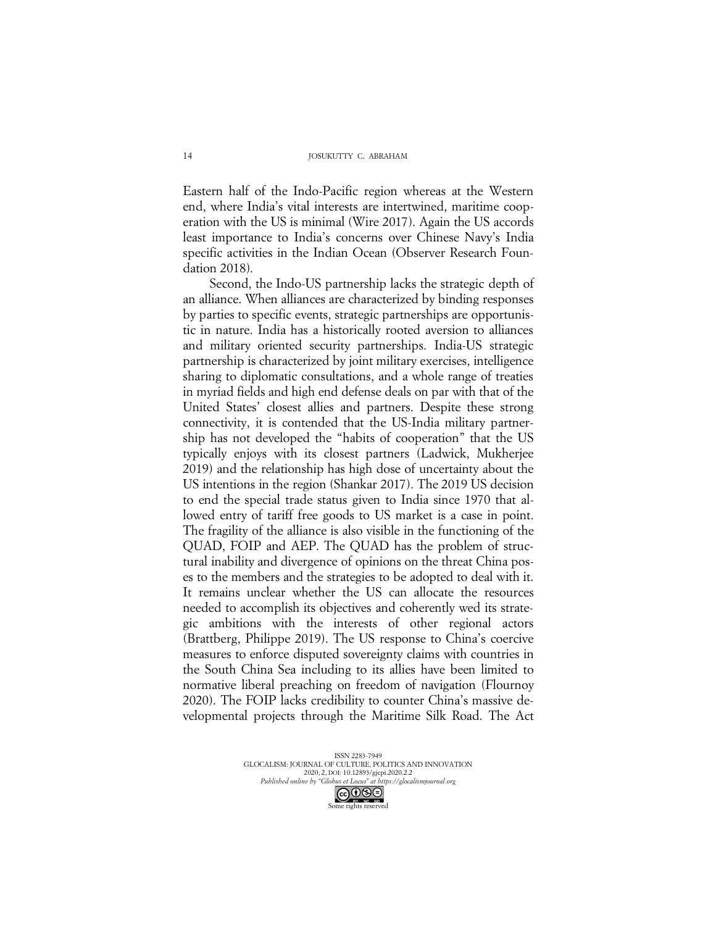Eastern half of the Indo-Pacific region whereas at the Western end, where India's vital interests are intertwined, maritime cooperation with the US is minimal (Wire 2017). Again the US accords least importance to India's concerns over Chinese Navy's India specific activities in the Indian Ocean (Observer Research Foundation 2018).

Second, the Indo-US partnership lacks the strategic depth of an alliance. When alliances are characterized by binding responses by parties to specific events, strategic partnerships are opportunistic in nature. India has a historically rooted aversion to alliances and military oriented security partnerships. India-US strategic partnership is characterized by joint military exercises, intelligence sharing to diplomatic consultations, and a whole range of treaties in myriad fields and high end defense deals on par with that of the United States' closest allies and partners. Despite these strong connectivity, it is contended that the US-India military partnership has not developed the "habits of cooperation" that the US typically enjoys with its closest partners (Ladwick, Mukherjee 2019) and the relationship has high dose of uncertainty about the US intentions in the region (Shankar 2017). The 2019 US decision to end the special trade status given to India since 1970 that allowed entry of tariff free goods to US market is a case in point. The fragility of the alliance is also visible in the functioning of the QUAD, FOIP and AEP. The QUAD has the problem of structural inability and divergence of opinions on the threat China poses to the members and the strategies to be adopted to deal with it. It remains unclear whether the US can allocate the resources needed to accomplish its objectives and coherently wed its strategic ambitions with the interests of other regional actors (Brattberg, Philippe 2019). The US response to China's coercive measures to enforce disputed sovereignty claims with countries in the South China Sea including to its allies have been limited to normative liberal preaching on freedom of navigation (Flournoy 2020). The FOIP lacks credibility to counter China's massive developmental projects through the Maritime Silk Road. The Act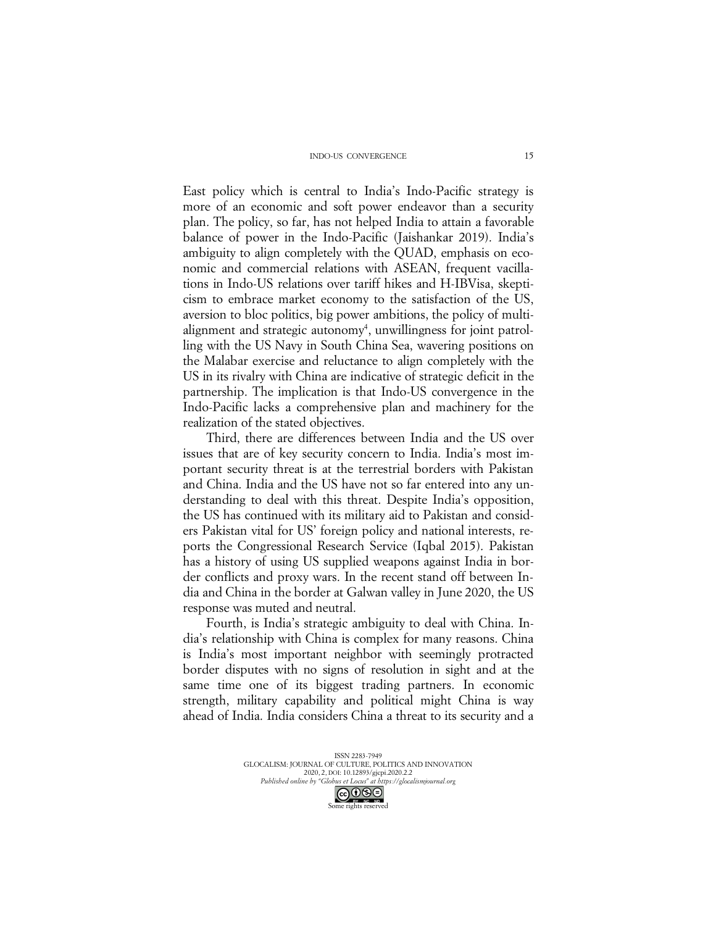East policy which is central to India's Indo-Pacific strategy is more of an economic and soft power endeavor than a security plan. The policy, so far, has not helped India to attain a favorable balance of power in the Indo-Pacific (Jaishankar 2019). India's ambiguity to align completely with the QUAD, emphasis on economic and commercial relations with ASEAN, frequent vacillations in Indo-US relations over tariff hikes and H-IBVisa, skepticism to embrace market economy to the satisfaction of the US, aversion to bloc politics, big power ambitions, the policy of multialignment and strategic autonomy<sup>4</sup>, unwillingness for joint patrolling with the US Navy in South China Sea, wavering positions on the Malabar exercise and reluctance to align completely with the US in its rivalry with China are indicative of strategic deficit in the partnership. The implication is that Indo-US convergence in the Indo-Pacific lacks a comprehensive plan and machinery for the realization of the stated objectives.

Third, there are differences between India and the US over issues that are of key security concern to India. India's most important security threat is at the terrestrial borders with Pakistan and China. India and the US have not so far entered into any understanding to deal with this threat. Despite India's opposition, the US has continued with its military aid to Pakistan and considers Pakistan vital for US' foreign policy and national interests, reports the Congressional Research Service (Iqbal 2015). Pakistan has a history of using US supplied weapons against India in border conflicts and proxy wars. In the recent stand off between India and China in the border at Galwan valley in June 2020, the US response was muted and neutral.

Fourth, is India's strategic ambiguity to deal with China. India's relationship with China is complex for many reasons. China is India's most important neighbor with seemingly protracted border disputes with no signs of resolution in sight and at the same time one of its biggest trading partners. In economic strength, military capability and political might China is way ahead of India. India considers China a threat to its security and a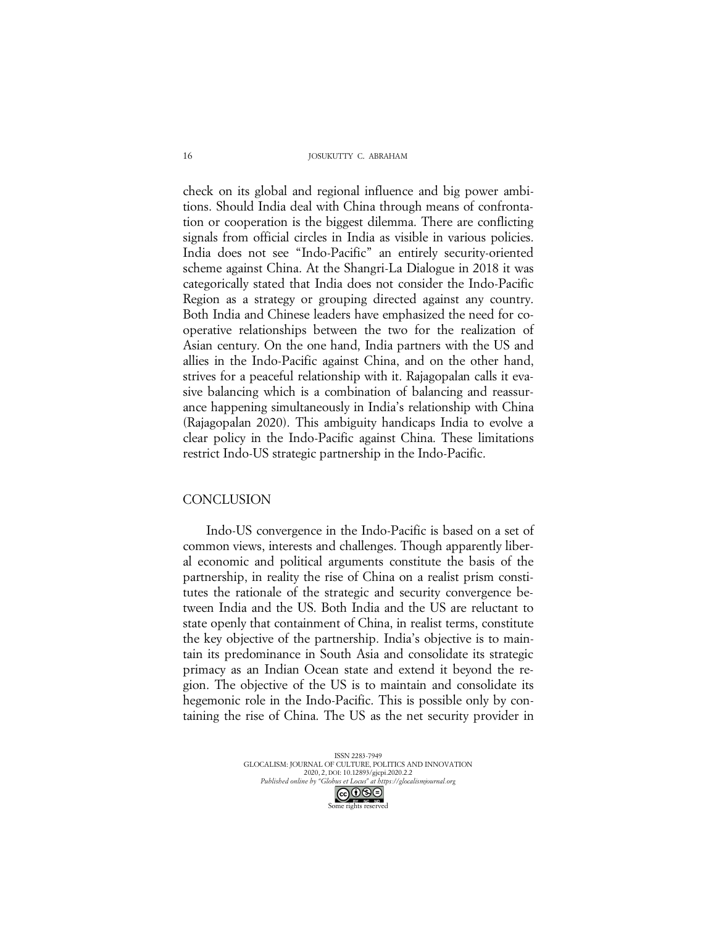check on its global and regional influence and big power ambitions. Should India deal with China through means of confrontation or cooperation is the biggest dilemma. There are conflicting signals from official circles in India as visible in various policies. India does not see "Indo-Pacific" an entirely security-oriented scheme against China. At the Shangri-La Dialogue in 2018 it was categorically stated that India does not consider the Indo-Pacific Region as a strategy or grouping directed against any country. Both India and Chinese leaders have emphasized the need for cooperative relationships between the two for the realization of Asian century. On the one hand, India partners with the US and allies in the Indo-Pacific against China, and on the other hand, strives for a peaceful relationship with it. Rajagopalan calls it evasive balancing which is a combination of balancing and reassurance happening simultaneously in India's relationship with China (Rajagopalan 2020). This ambiguity handicaps India to evolve a clear policy in the Indo-Pacific against China. These limitations restrict Indo-US strategic partnership in the Indo-Pacific.

## **CONCLUSION**

Indo-US convergence in the Indo-Pacific is based on a set of common views, interests and challenges. Though apparently liberal economic and political arguments constitute the basis of the partnership, in reality the rise of China on a realist prism constitutes the rationale of the strategic and security convergence between India and the US. Both India and the US are reluctant to state openly that containment of China, in realist terms, constitute the key objective of the partnership. India's objective is to maintain its predominance in South Asia and consolidate its strategic primacy as an Indian Ocean state and extend it beyond the region. The objective of the US is to maintain and consolidate its hegemonic role in the Indo-Pacific. This is possible only by containing the rise of China. The US as the net security provider in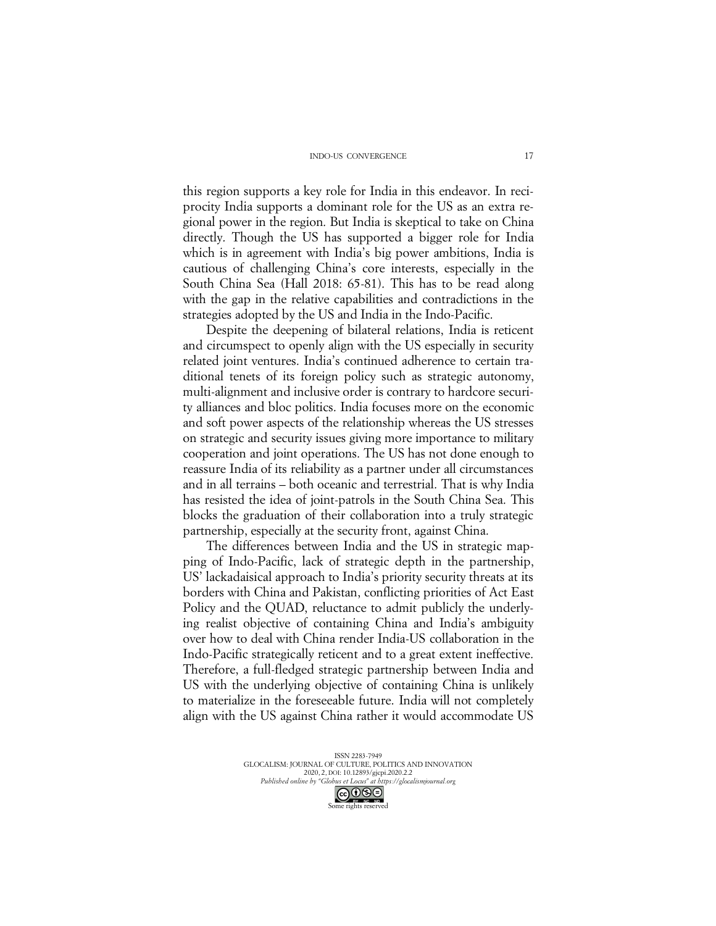this region supports a key role for India in this endeavor. In reciprocity India supports a dominant role for the US as an extra regional power in the region. But India is skeptical to take on China directly. Though the US has supported a bigger role for India which is in agreement with India's big power ambitions, India is cautious of challenging China's core interests, especially in the South China Sea (Hall 2018: 65-81). This has to be read along with the gap in the relative capabilities and contradictions in the strategies adopted by the US and India in the Indo-Pacific.

Despite the deepening of bilateral relations, India is reticent and circumspect to openly align with the US especially in security related joint ventures. India's continued adherence to certain traditional tenets of its foreign policy such as strategic autonomy, multi-alignment and inclusive order is contrary to hardcore security alliances and bloc politics. India focuses more on the economic and soft power aspects of the relationship whereas the US stresses on strategic and security issues giving more importance to military cooperation and joint operations. The US has not done enough to reassure India of its reliability as a partner under all circumstances and in all terrains – both oceanic and terrestrial. That is why India has resisted the idea of joint-patrols in the South China Sea. This blocks the graduation of their collaboration into a truly strategic partnership, especially at the security front, against China.

The differences between India and the US in strategic mapping of Indo-Pacific, lack of strategic depth in the partnership, US' lackadaisical approach to India's priority security threats at its borders with China and Pakistan, conflicting priorities of Act East Policy and the QUAD, reluctance to admit publicly the underlying realist objective of containing China and India's ambiguity over how to deal with China render India-US collaboration in the Indo-Pacific strategically reticent and to a great extent ineffective. Therefore, a full-fledged strategic partnership between India and US with the underlying objective of containing China is unlikely to materialize in the foreseeable future. India will not completely align with the US against China rather it would accommodate US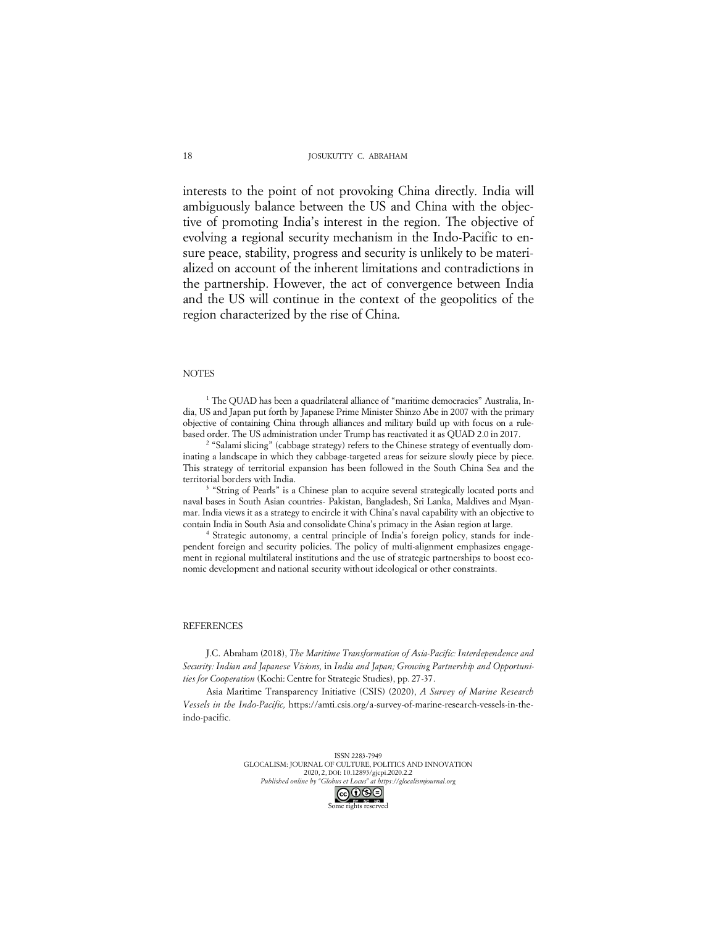interests to the point of not provoking China directly. India will ambiguously balance between the US and China with the objective of promoting India's interest in the region. The objective of evolving a regional security mechanism in the Indo-Pacific to ensure peace, stability, progress and security is unlikely to be materialized on account of the inherent limitations and contradictions in the partnership. However, the act of convergence between India and the US will continue in the context of the geopolitics of the region characterized by the rise of China.

### **NOTES**

<sup>1</sup> The QUAD has been a quadrilateral alliance of "maritime democracies" Australia, India, US and Japan put forth by Japanese Prime Minister Shinzo Abe in 2007 with the primary objective of containing China through alliances and military build up with focus on a rulebased order. The US administration under Trump has reactivated it as QUAD 2.0 in 2017.

<sup>2</sup> "Salami slicing" (cabbage strategy) refers to the Chinese strategy of eventually dominating a landscape in which they cabbage-targeted areas for seizure slowly piece by piece. This strategy of territorial expansion has been followed in the South China Sea and the territorial borders with India. 3 "String of Pearls" is a Chinese plan to acquire several strategically located ports and

naval bases in South Asian countries- Pakistan, Bangladesh, Sri Lanka, Maldives and Myanmar. India views it as a strategy to encircle it with China's naval capability with an objective to contain India in South Asia and consolidate China's primacy in the Asian region at large.

<sup>4</sup> Strategic autonomy, a central principle of India's foreign policy, stands for independent foreign and security policies. The policy of multi-alignment emphasizes engagement in regional multilateral institutions and the use of strategic partnerships to boost economic development and national security without ideological or other constraints.

#### REFERENCES

J.C. Abraham (2018), *The Maritime Transformation of Asia-Pacific: Interdependence and Security: Indian and Japanese Visions,* in *India and Japan; Growing Partnership and Opportunities for Cooperation* (Kochi: Centre for Strategic Studies), pp. 27-37.

Asia Maritime Transparency Initiative (CSIS) (2020), *A Survey of Marine Research Vessels in the Indo-Pacific,* https://amti.csis.org/a-survey-of-marine-research-vessels-in-theindo-pacific.

> ISSN 2283-7949 GLOCALISM: JOURNAL OF CULTURE, POLITICS AND INNOVATION 2020, 2, DOI: 10.12893/gjcpi.2020.2.2 *Published online by "Globus et Locus" at https://glocalismjournal.org*



18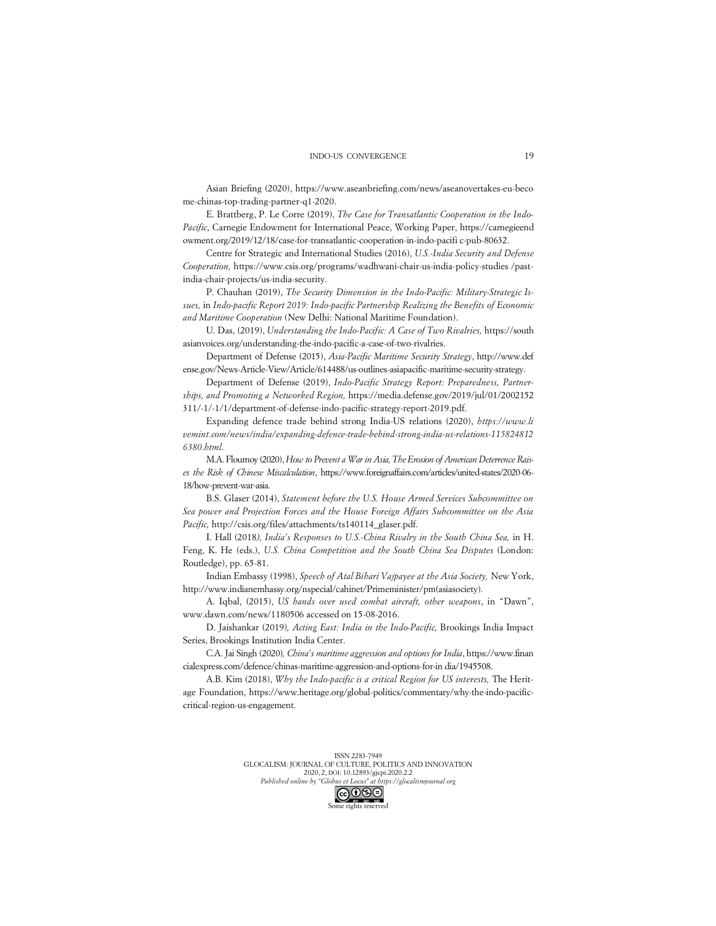Asian Briefing (2020), https://www.aseanbriefing.com/news/aseanovertakes-eu-beco me-chinas-top-trading-partner-q1-2020.

E. Brattberg, P. Le Corre (2019), *The Case for Transatlantic Cooperation in the Indo-Pacific*, Carnegie Endowment for International Peace, Working Paper, https://carnegieend owment.org/2019/12/18/case-for-transatlantic-cooperation-in-indo-pacifi c-pub-80632.

Centre for Strategic and International Studies (2016), *U.S.-India Security and Defense Cooperation,* https://www.csis.org/programs/wadhwani-chair-us-india-policy-studies /pastindia-chair-projects/us-india-security.

P. Chauhan (2019), *The Security Dimension in the Indo-Pacific: Military-Strategic Issues,* in *Indo-pacific Report 2019: Indo-pacific Partnership Realizing the Benefits of Economic and Maritime Cooperation* (New Delhi: National Maritime Foundation).

U. Das, (2019), *Understanding the Indo-Pacific: A Case of Two Rivalries,* https://south asianvoices.org/understanding-the-indo-pacific-a-case-of-two-rivalries.

Department of Defense (2015), *Asia-Pacific Maritime Security Strategy*, http://www.def ense.gov/News-Article-View/Article/614488/us-outlines-asiapacific-maritime-security-strategy.

Department of Defense (2019), *Indo-Pacific Strategy Report: Preparedness, Partnerships, and Promoting a Networked Region,* https://media.defense.gov/2019/jul/01/2002152 311/-1/-1/1/department-of-defense-indo-pacific-strategy-report-2019.pdf.

Expanding defence trade behind strong India-US relations (2020), *https://www.li vemint.com/news/india/expanding-defence-trade-behind-strong-india-us-relations-115824812 6380.html*.

M.A. Flournoy (2020), *How to Prevent a War in Asia, The Erosion of American Deterrence Raises the Risk of Chinese Miscalculation*, https://www.foreignaffairs.com/articles/united-states/2020-06- 18/how-prevent-war-asia.

B.S. Glaser (2014), *Statement before the U.S. House Armed Services Subcommittee on Sea power and Projection Forces and the House Foreign Affairs Subcommittee on the Asia Pacific,* http://csis.org/files/attachments/ts140114\_glaser.pdf.

I. Hall (2018*), India's Responses to U.S.-China Rivalry in the South China Sea,* in H. Feng, K. He (eds.), *U.S. China Competition and the South China Sea Disputes* (London: Routledge), pp. 65-81.

Indian Embassy (1998), *Speech of Atal Bihari Vajpayee at the Asia Society,* New York, http://www.indianemhassy.org/nspecial/cahinet/Primeminister/pm(asiasociety).

A. Iqbal, (2015), *US hands over used combat aircraft, other weapons*, in "Dawn", www.dawn.com/news/1180506 accessed on 15-08-2016.

D. Jaishankar (2019)*, Acting East: India in the Indo-Pacific,* Brookings India Impact Series, Brookings Institution India Center.

C.A. Jai Singh (2020)*, China's maritime aggression and options for India*, https://www.finan cialexpress.com/defence/chinas-maritime-aggression-and-options-for-in dia/1945508.

A.B. Kim (2018), *Why the Indo-pacific is a critical Region for US interests,* The Heritage Foundation, https://www.heritage.org/global-politics/commentary/why-the-indo-pacificcritical-region-us-engagement.

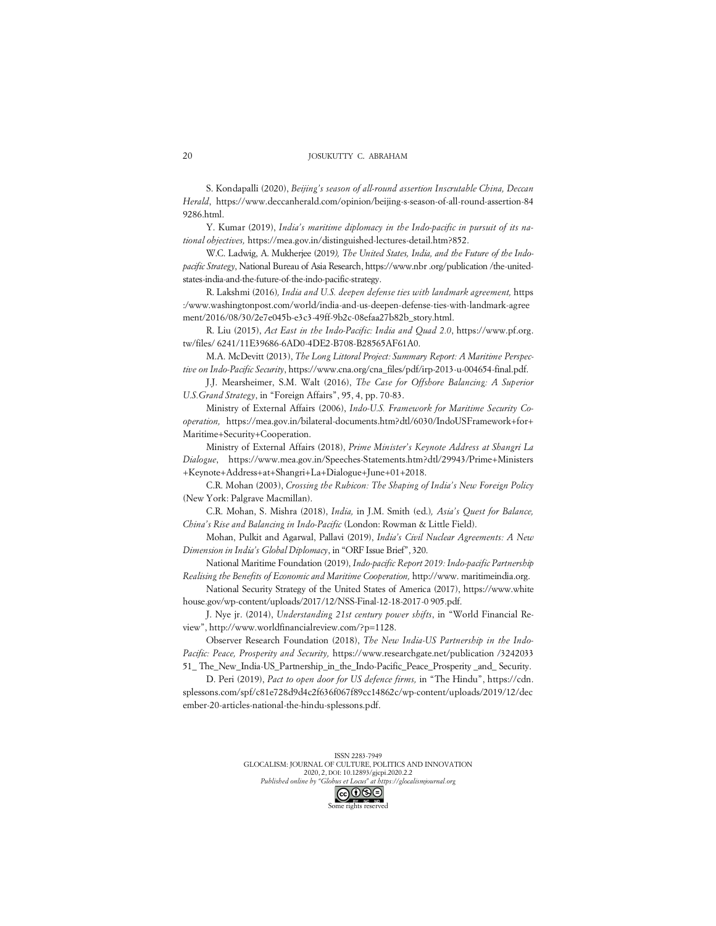#### JOSUKUTTY C. ABRAHAM

S. Kondapalli (2020), *Beijing's season of all-round assertion Inscrutable China, Deccan Herald*, https://www.deccanherald.com/opinion/beijing-s-season-of-all-round-assertion-84 9286.html.

Y. Kumar (2019), *India's maritime diplomacy in the Indo-pacific in pursuit of its national objectives,* https://mea.gov.in/distinguished-lectures-detail.htm?852.

W.C. Ladwig, A. Mukherjee (2019*), The United States, India, and the Future of the Indopacific Strategy*, National Bureau of Asia Research, https://www.nbr .org/publication /the-unitedstates-india-and-the-future-of-the-indo-pacific-strategy.

R. Lakshmi (2016)*, India and U.S. deepen defense ties with landmark agreement,* https :/www.washingtonpost.com/world/india-and-us-deepen-defense-ties-with-landmark-agree ment/2016/08/30/2e7e045b-e3c3-49ff-9b2c-08efaa27b82b\_story.html.

R. Liu (2015), *Act East in the Indo-Pacific: India and Quad 2.0*, https://www.pf.org. tw/files/ 6241/11E39686-6AD0-4DE2-B708-B28565AF61A0.

M.A. McDevitt (2013), *The Long Littoral Project: Summary Report: A Maritime Perspective on Indo-Pacific Security*, https://www.cna.org/cna\_files/pdf/irp-2013-u-004654-final.pdf.

J.J. Mearsheimer, S.M. Walt (2016), *The Case for Offshore Balancing: A Superior U.S.Grand Strategy*, in "Foreign Affairs", 95, 4, pp. 70-83.

Ministry of External Affairs (2006), *Indo-U.S. Framework for Maritime Security Cooperation,* https://mea.gov.in/bilateral-documents.htm?dtl/6030/IndoUSFramework+for+ Maritime+Security+Cooperation.

Ministry of External Affairs (2018), *Prime Minister's Keynote Address at Shangri La Dialogue*, https://www.mea.gov.in/Speeches-Statements.htm?dtl/29943/Prime+Ministers +Keynote+Address+at+Shangri+La+Dialogue+June+01+2018.

C.R. Mohan (2003), *Crossing the Rubicon: The Shaping of India's New Foreign Policy*  (New York: Palgrave Macmillan).

C.R. Mohan, S. Mishra (2018), *India,* in J.M. Smith (ed.)*, Asia's Quest for Balance, China's Rise and Balancing in Indo-Pacific* (London: Rowman & Little Field).

Mohan, Pulkit and Agarwal, Pallavi (2019), *India's Civil Nuclear Agreements: A New Dimension in India's Global Diplomacy*, in "ORF Issue Brief", 320.

National Maritime Foundation (2019), *Indo-pacific Report 2019: Indo-pacific Partnership Realising the Benefits of Economic and Maritime Cooperation,* http://www. maritimeindia.org.

National Security Strategy of the United States of America (2017), https://www.white house.gov/wp-content/uploads/2017/12/NSS-Final-12-18-2017-0 905.pdf.

J. Nye jr. (2014), *Understanding 21st century power shifts*, in "World Financial Review", http://www.worldfinancialreview.com/?p=1128.

Observer Research Foundation (2018), *The New India-US Partnership in the Indo-Pacific: Peace, Prosperity and Security,* https://www.researchgate.net/publication /3242033 51\_ The\_New\_India-US\_Partnership\_in\_the\_Indo-Pacific\_Peace\_Prosperity \_and\_ Security.

D. Peri (2019), *Pact to open door for US defence firms,* in "The Hindu", https://cdn. splessons.com/spf/c81e728d9d4c2f636f067f89cc14862c/wp-content/uploads/2019/12/dec ember-20-articles-national-the-hindu-splessons.pdf.

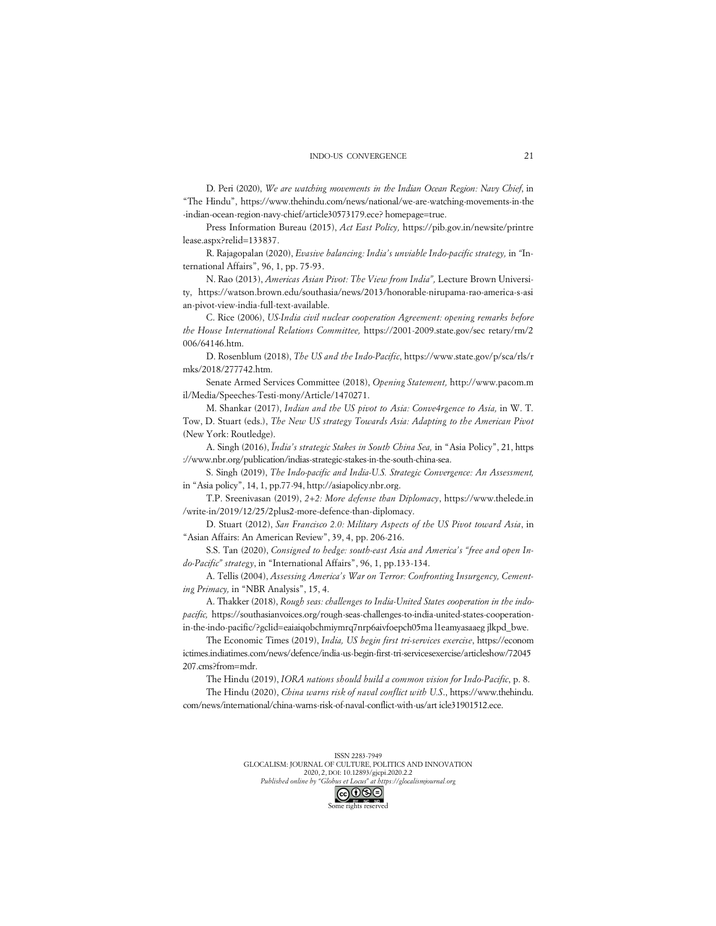D. Peri (2020), *We are watching movements in the Indian Ocean Region: Navy Chief*, in "The Hindu", https://www.thehindu.com/news/national/we-are-watching-movements-in-the -indian-ocean-region-navy-chief/article30573179.ece? homepage=true.

Press Information Bureau (2015), *Act East Policy,* https://pib.gov.in/newsite/printre lease.aspx?relid=133837.

R. Rajagopalan (2020), *Evasive balancing: India's unviable Indo-pacific strategy,* in *"*International Affairs", 96, 1, pp. 75-93.

N. Rao (2013), *Americas Asian Pivot: The View from India",* Lecture Brown University, https://watson.brown.edu/southasia/news/2013/honorable-nirupama-rao-america-s-asi an-pivot-view-india-full-text-available.

C. Rice (2006), *US-India civil nuclear cooperation Agreement: opening remarks before the House International Relations Committee,* https://2001-2009.state.gov/sec retary/rm/2 006/64146.htm.

D. Rosenblum (2018), *The US and the Indo-Pacific*, https://www.state.gov/p/sca/rls/r mks/2018/277742.htm.

Senate Armed Services Committee (2018), *Opening Statement,* http://www.pacom.m il/Media/Speeches-Testi-mony/Article/1470271.

M. Shankar (2017), *Indian and the US pivot to Asia: Conve4rgence to Asia,* in W. T. Tow, D. Stuart (eds.), *The New US strategy Towards Asia: Adapting to the American Pivot* (New York: Routledge).

A. Singh (2016), *Ïndia's strategic Stakes in South China Sea,* in "Asia Policy", 21, https ://www.nbr.org/publication/indias-strategic-stakes-in-the-south-china-sea.

S. Singh (2019), *The Indo-pacific and India-U.S. Strategic Convergence: An Assessment,* in "Asia policy", 14, 1, pp.77-94, http://asiapolicy.nbr.org.

T.P. Sreenivasan (2019), *2+2: More defense than Diplomacy*, https://www.thelede.in /write-in/2019/12/25/2plus2-more-defence-than-diplomacy.

D. Stuart (2012), *San Francisco 2.0: Military Aspects of the US Pivot toward Asia*, in "Asian Affairs: An American Review", 39, 4, pp. 206-216.

S.S. Tan (2020), *Consigned to hedge: south-east Asia and America's "free and open Indo-Pacific" strategy*, in "International Affairs", 96, 1, pp.133-134.

A. Tellis (2004), *Assessing America's War on Terror: Confronting Insurgency, Cementing Primacy,* in "NBR Analysis", 15, 4.

A. Thakker (2018), *Rough seas: challenges to India-United States cooperation in the indopacific,* https://southasianvoices.org/rough-seas-challenges-to-india-united-states-cooperationin-the-indo-pacific/?gclid=eaiaiqobchmiymrq7nrp6aivfoepch05ma l1eamyasaaeg jlkpd\_bwe.

The Economic Times (2019), *India, US begin first tri-services exercise*, https://econom ictimes.indiatimes.com/news/defence/india-us-begin-first-tri-servicesexercise/articleshow/72045 207.cms?from=mdr.

The Hindu (2019), *IORA nations should build a common vision for Indo-Pacific*, p. 8. The Hindu (2020), *China warns risk of naval conflict with U.S*., https://www.thehindu. com/news/international/china-warns-risk-of-naval-conflict-with-us/art icle31901512.ece.